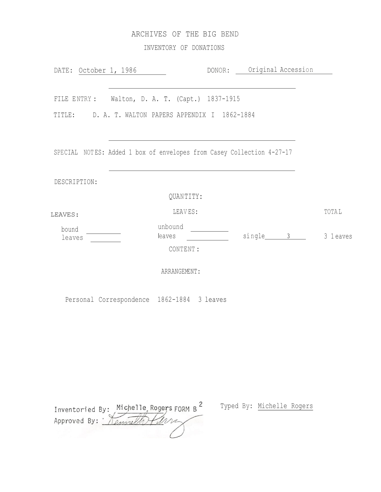# ARCHIVES OF THE BIG BEND

INVENTORY OF DONATIONS

| DATE: October 1, 1986 |                                                                       | DONOR: Original Accession |  |          |              |
|-----------------------|-----------------------------------------------------------------------|---------------------------|--|----------|--------------|
|                       |                                                                       |                           |  |          |              |
|                       | FILE ENTRY: Walton, D. A. T. (Capt.) 1837-1915                        |                           |  |          |              |
|                       | TITLE: D. A. T. WALTON PAPERS APPENDIX I 1862-1884                    |                           |  |          |              |
|                       |                                                                       |                           |  |          |              |
|                       | SPECIAL NOTES: Added 1 box of envelopes from Casey Collection 4-27-17 |                           |  |          |              |
|                       |                                                                       |                           |  |          |              |
| DESCRIPTION:          |                                                                       |                           |  |          |              |
|                       | QUANTITY:                                                             |                           |  |          |              |
| LEAVES:               | LEAVES:                                                               |                           |  |          | <b>TOTAL</b> |
| bound<br>leaves       | unbound<br>leaves                                                     |                           |  | single 3 | 3 1 eaves    |
|                       | CONTENT :                                                             |                           |  |          |              |
|                       | ARRANGEMENT:                                                          |                           |  |          |              |

Personal Correspondence 1862-1884 3 leaves

| Inventoried By: Michelle Rogers FORM B |  |
|----------------------------------------|--|
| Approved By: 10                        |  |
|                                        |  |

Typed By: Michelle Rogers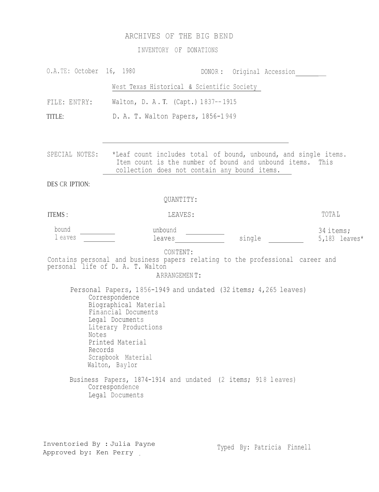# ARCHIVES OF THE BIG BEND

INVENTORY OF DONATIONS

| O.A.TE: October 16, 1980                                                                                                                                                                                                                                                                                                                                                                                                                                                                                           |                                                                                                                                                                                             |  | DONOR: Original Accession |                              |  |
|--------------------------------------------------------------------------------------------------------------------------------------------------------------------------------------------------------------------------------------------------------------------------------------------------------------------------------------------------------------------------------------------------------------------------------------------------------------------------------------------------------------------|---------------------------------------------------------------------------------------------------------------------------------------------------------------------------------------------|--|---------------------------|------------------------------|--|
|                                                                                                                                                                                                                                                                                                                                                                                                                                                                                                                    | West Texas Historical & Scientific Society                                                                                                                                                  |  |                           |                              |  |
| FILE: ENTRY:                                                                                                                                                                                                                                                                                                                                                                                                                                                                                                       | Walton, D. A.T. (Capt.) 1837--1915                                                                                                                                                          |  |                           |                              |  |
| TITLE:                                                                                                                                                                                                                                                                                                                                                                                                                                                                                                             | D. A. T. Walton Papers, 1856-1949                                                                                                                                                           |  |                           |                              |  |
|                                                                                                                                                                                                                                                                                                                                                                                                                                                                                                                    |                                                                                                                                                                                             |  |                           |                              |  |
|                                                                                                                                                                                                                                                                                                                                                                                                                                                                                                                    | SPECIAL NOTES: *Leaf count includes total of bound, unbound, and single items.<br>Item count is the number of bound and unbound items. This<br>collection does not contain any bound items. |  |                           |                              |  |
| <b>DES CR IPTION:</b>                                                                                                                                                                                                                                                                                                                                                                                                                                                                                              |                                                                                                                                                                                             |  |                           |                              |  |
|                                                                                                                                                                                                                                                                                                                                                                                                                                                                                                                    | QUANTITY:                                                                                                                                                                                   |  |                           |                              |  |
| <b>ITEMS:</b>                                                                                                                                                                                                                                                                                                                                                                                                                                                                                                      | LEAVES:                                                                                                                                                                                     |  |                           | <b>TOTAL</b>                 |  |
| bound<br>1 eaves                                                                                                                                                                                                                                                                                                                                                                                                                                                                                                   | unbound<br>leaves                                                                                                                                                                           |  | single                    | 34 items;<br>$5,183$ leaves* |  |
| CONTENT:<br>Contains personal and business papers relating to the professional career and<br>personal life of D. A. T. Walton<br>ARRANGEMENT:<br>Personal Papers, 1856-1949 and undated (32 items; 4,265 leaves)<br>Correspondence<br>Biographical Material<br>Financial Documents<br>Legal Documents<br>Literary Productions<br>Notes<br>Printed Material<br>Records<br>Scrapbook Material<br>Walton, Baylor<br>Business Papers, 1874-1914 and undated (2 items; 918 leaves)<br>Correspondence<br>Legal Documents |                                                                                                                                                                                             |  |                           |                              |  |
|                                                                                                                                                                                                                                                                                                                                                                                                                                                                                                                    |                                                                                                                                                                                             |  |                           |                              |  |
|                                                                                                                                                                                                                                                                                                                                                                                                                                                                                                                    |                                                                                                                                                                                             |  |                           |                              |  |

Inventoried By : Julia Payne Approved by: Ken Perry \_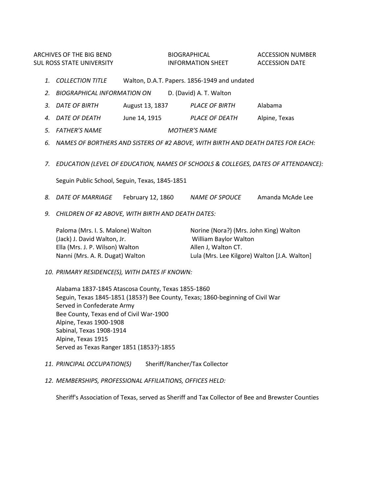ARCHIVES OF THE BIG BEND BIOGRAPHICAL ACCESSION NUMBER SUL ROSS STATE UNIVERSITY **INFORMATION SHEET** ACCESSION DATE

- *1. COLLECTION TITLE* Walton, D.A.T. Papers. 1856-1949 and undated
- *2. BIOGRAPHICAL INFORMATION ON* D. (David) A. T. Walton
- *3. DATE OF BIRTH* August 13, 1837 *PLACE OF BIRTH* Alabama
- *4. DATE OF DEATH* June 14, 1915 *PLACE OF DEATH* Alpine, Texas
- *5. FATHER'S NAME MOTHER'S NAME*
- *6. NAMES OF BORTHERS AND SISTERS OF #2 ABOVE, WITH BIRTH AND DEATH DATES FOR EACH:*
- *7. EDUCATION (LEVEL OF EDUCATION, NAMES OF SCHOOLS & COLLEGES, DATES OF ATTENDANCE):*

Seguin Public School, Seguin, Texas, 1845-1851

- *8. DATE OF MARRIAGE* February 12, 1860 *NAME OF SPOUCE* Amanda McAde Lee
- *9. CHILDREN OF #2 ABOVE, WITH BIRTH AND DEATH DATES:*

| Paloma (Mrs. I. S. Malone) Walton | Norine (Nora?) (Mrs. John King) Walton       |
|-----------------------------------|----------------------------------------------|
| (Jack) J. David Walton, Jr.       | William Baylor Walton                        |
| Ella (Mrs. J. P. Wilson) Walton   | Allen J. Walton CT.                          |
| Nanni (Mrs. A. R. Dugat) Walton   | Lula (Mrs. Lee Kilgore) Walton [J.A. Walton] |

*10. PRIMARY RESIDENCE(S), WITH DATES IF KNOWN:*

Alabama 1837-1845 Atascosa County, Texas 1855-1860 Seguin, Texas 1845-1851 (1853?) Bee County, Texas; 1860-beginning of Civil War Served in Confederate Army Bee County, Texas end of Civil War-1900 Alpine, Texas 1900-1908 Sabinal, Texas 1908-1914 Alpine, Texas 1915 Served as Texas Ranger 1851 (1853?)-1855

- *11. PRINCIPAL OCCUPATION(S)* Sheriff/Rancher/Tax Collector
- *12. MEMBERSHIPS, PROFESSIONAL AFFILIATIONS, OFFICES HELD:*

Sheriff's Association of Texas, served as Sheriff and Tax Collector of Bee and Brewster Counties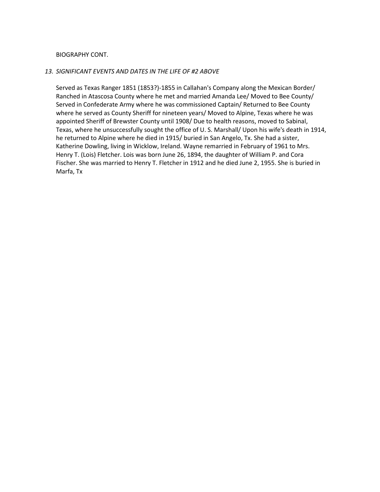## BIOGRAPHY CONT.

### *13. SIGNIFICANT EVENTS AND DATES IN THE LIFE OF #2 ABOVE*

Served as Texas Ranger 1851 (1853?)-1855 in Callahan's Company along the Mexican Border/ Ranched in Atascosa County where he met and married Amanda Lee/ Moved to Bee County/ Served in Confederate Army where he was commissioned Captain/ Returned to Bee County where he served as County Sheriff for nineteen years/ Moved to Alpine, Texas where he was appointed Sheriff of Brewster County until 1908/ Due to health reasons, moved to Sabinal, Texas, where he unsuccessfully sought the office of U. S. Marshall/ Upon his wife's death in 1914, he returned to Alpine where he died in 1915/ buried in San Angelo, Tx. She had a sister, Katherine Dowling, living in Wicklow, Ireland. Wayne remarried in February of 1961 to Mrs. Henry T. (Lois) Fletcher. Lois was born June 26, 1894, the daughter of William P. and Cora Fischer. She was married to Henry T. Fletcher in 1912 and he died June 2, 1955. She is buried in Marfa, Tx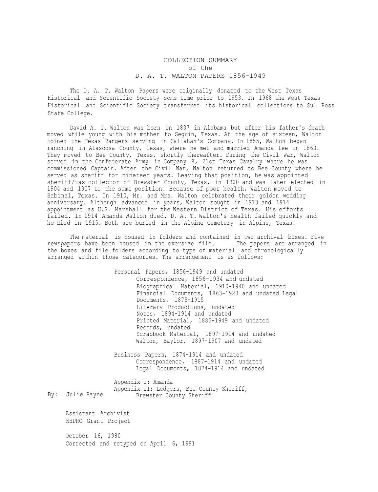### COLLECTION SUMMARY of the D. A. T. WALTON PAPERS 1856-1949

The D. A. T. Walton Papers were originally donated to the West Texas Historical and Scientific Society some time prior to 1953. In 1968 the West Texas Historical and Scientific Society transferred its historical collections to Sul Ross State College.

David A. T. Walton was born in 1837 in Alabama but after his father's death moved while young with his mother to Seguin, Texas. At the age of sixteen, Walton joined the Texas Rangers serving in Callahan's Company. In 1855, Walton began ranching in Atascosa County, Texas, where he met and married Amanda Lee in 1860. They moved to Bee County, Texas, shortly thereafter. During the Civil War, Walton served in the Confederate Army in Company K, 21st Texas Cavalry where he was commissioned Captain. After the Civil War, Walton returned to Bee County where he served as sheriff for nineteen years. Leaving that position, he was appointed sheriff/tax collector of Brewster County, Texas, in 1900 and was later elected in 1904 and 1907 to the same position. Because of poor health, Walton moved to Sabinal, Texas. In 1910, Mr. and Mrs. Walton celebrated their golden wedding anniversary. Although advanced in years, Walton sought in 1913 and 1914 appointment as U.S. Marshall for the Western District of Texas. His efforts failed. In 1914 Amanda Walton died. D. A. T. Walton's health failed quickly and he died in 1915. Both are buried in the Alpine Cemetery in Alpine, Texas.

The material is housed in folders and contained in two archival boxes. Five newspapers have been housed in the oversize file. The papers are arranged in the boxes and file folders according to type of material and chronologically arranged within those categories. The arrangement is as follows:

> Personal Papers, 1856-1949 and undated Correspondence, 1856-1934 and undated Biographical Material, 1910-1940 and undated Financial Documents, 1863-1923 and undated Legal Documents, 1875-1915 Literary Productions, undated Notes, 1894-1914 and undated Printed Material, 1885-1949 and undated Records, undated Scrapbook Material, 1897-1914 and undated Walton, Baylor, 1897-1907 and undated

Business Papers, 1874-1914 and undated Correspondence, 1887-1914 and undated Legal Documents, 1874-1914 and undated

By: Julie Payne Appendix I: Amanda Appendix II: Ledgers, Bee County Sheriff, Brewster County Sheriff

Assistant Archivist NHPRC Grant Project

October 16, 1980 Corrected and retyped on April 6, 1991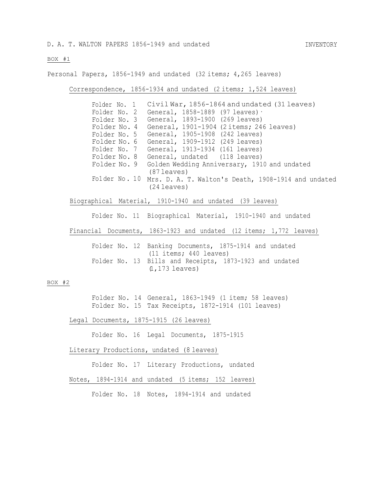INVENTORY

#### BOX #1

Personal Papers, 1856-1949 and undated (32 items; 4,265 leaves)

Correspondence, 1856-1934 and undated (2 items; 1,524 leaves)

Folder No. 1 Civil War, 1856-1864 and undated (31 leaves) Folder No. 2 General, 1858-1889 (97 leaves)· Folder No. 3 General, 1893-1900 (269 leaves) Folder No. 4 General, 1901-1904 (2items; 246 leaves) Folder No. 5 General, 1905-1908 (242 leaves) Folder No. 6 General, 1909-1912 (249 leaves) Folder No. 7 General, 1913-1934 (161 leaves) Folder No. 8 General, undated (118 leaves) Folder No. 9 Golden Wedding Anniversary, 1910 and undated Fo1der No . 10 Mrs. D. A. T. Walton's Death, 1908-1914 and undated (87 leaves) (24 leaves)

Biographical Material, 1910-1940 and undated (39 leaves)

Folder No. 11 Biographical Material, 1910-1940 and undated

Financial Documents, 1863-1923 and undated (12 items; 1,772 leaves)

|  |                   | Folder No. 12 Banking Documents, 1875-1914 and undated  |  |  |
|--|-------------------|---------------------------------------------------------|--|--|
|  |                   | (11 items; 440 leaves)                                  |  |  |
|  |                   | Folder No. 13 Bills and Receipts, 1873-1923 and undated |  |  |
|  | $(1, 173$ leaves) |                                                         |  |  |

#### BOX #2

Folder No. 14 General, 1863-1949 (1 item; 58 leaves) Folder No. 15 Tax Receipts, 1872-1914 (101 leaves)

Legal Documents, 1875-1915 (26 leaves)

Folder No. 16 Legal Documents, 1875-1915

Literary Productions, undated (8 leaves)

Folder No. 17 Literary Productions, undated

Notes, 1894-1914 and undated (5 items; 152 leaves)

Folder No. 18 Notes, 1894-1914 and undated